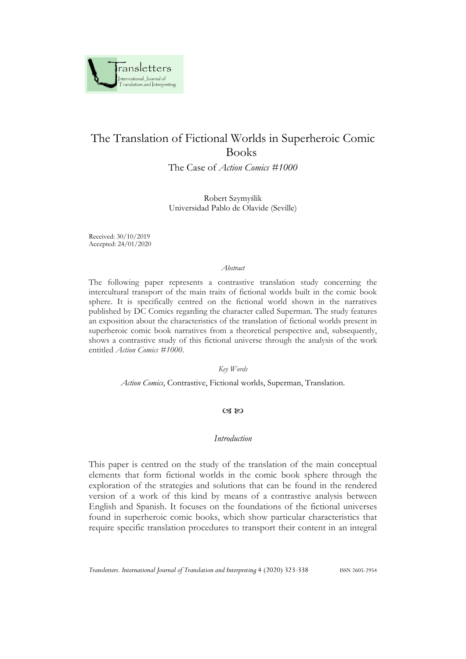

# The Translation of Fictional Worlds in Superheroic Comic Books

The Case of *Action Comics #1000*

Robert Szymyślik Universidad Pablo de Olavide (Seville)

Received: 30/10/2019 Accepted: 24/01/2020

#### *Abstract*

The following paper represents a contrastive translation study concerning the intercultural transport of the main traits of fictional worlds built in the comic book sphere. It is specifically centred on the fictional world shown in the narratives published by DC Comics regarding the character called Superman. The study features an exposition about the characteristics of the translation of fictional worlds present in superheroic comic book narratives from a theoretical perspective and, subsequently, shows a contrastive study of this fictional universe through the analysis of the work entitled *Action Comics #1000*.

#### *Key Words*

*Action Comics*, Contrastive, Fictional worlds, Superman, Translation.

### $\alpha$   $\infty$

## *Introduction*

This paper is centred on the study of the translation of the main conceptual elements that form fictional worlds in the comic book sphere through the exploration of the strategies and solutions that can be found in the rendered version of a work of this kind by means of a contrastive analysis between English and Spanish. It focuses on the foundations of the fictional universes found in superheroic comic books, which show particular characteristics that require specific translation procedures to transport their content in an integral

*Transletters. International Journal of Translation and Interpreting* 4 (2020) 323-338 ISSN 2605-2954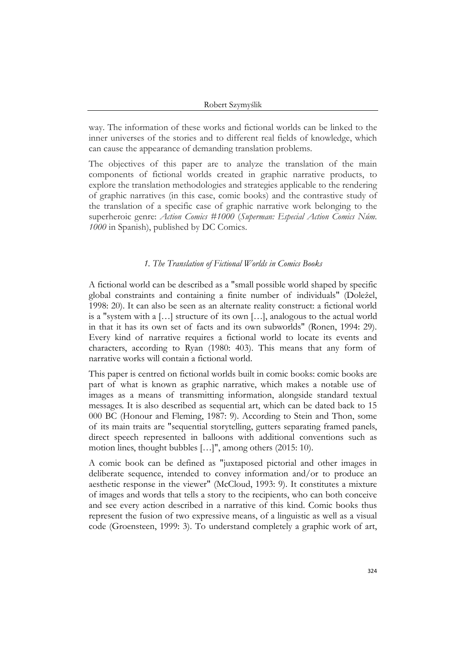way. The information of these works and fictional worlds can be linked to the inner universes of the stories and to different real fields of knowledge, which can cause the appearance of demanding translation problems.

The objectives of this paper are to analyze the translation of the main components of fictional worlds created in graphic narrative products, to explore the translation methodologies and strategies applicable to the rendering of graphic narratives (in this case, comic books) and the contrastive study of the translation of a specific case of graphic narrative work belonging to the superheroic genre: *Action Comics #1000* (*Superman: Especial Action Comics Núm. 1000* in Spanish), published by DC Comics.

### *1. The Translation of Fictional Worlds in Comics Books*

A fictional world can be described as a "small possible world shaped by specific global constraints and containing a finite number of individuals" (Doležel, 1998: 20). It can also be seen as an alternate reality construct: a fictional world is a "system with a […] structure of its own […], analogous to the actual world in that it has its own set of facts and its own subworlds" (Ronen, 1994: 29). Every kind of narrative requires a fictional world to locate its events and characters, according to Ryan (1980: 403). This means that any form of narrative works will contain a fictional world.

This paper is centred on fictional worlds built in comic books: comic books are part of what is known as graphic narrative, which makes a notable use of images as a means of transmitting information, alongside standard textual messages. It is also described as sequential art, which can be dated back to 15 000 BC (Honour and Fleming, 1987: 9). According to Stein and Thon, some of its main traits are "sequential storytelling, gutters separating framed panels, direct speech represented in balloons with additional conventions such as motion lines, thought bubbles […]", among others (2015: 10).

A comic book can be defined as "juxtaposed pictorial and other images in deliberate sequence, intended to convey information and/or to produce an aesthetic response in the viewer" (McCloud, 1993: 9). It constitutes a mixture of images and words that tells a story to the recipients, who can both conceive and see every action described in a narrative of this kind. Comic books thus represent the fusion of two expressive means, of a linguistic as well as a visual code (Groensteen, 1999: 3). To understand completely a graphic work of art,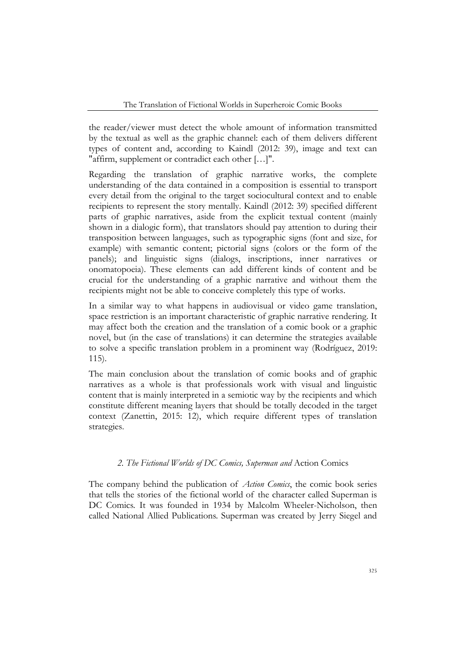the reader/viewer must detect the whole amount of information transmitted by the textual as well as the graphic channel: each of them delivers different types of content and, according to Kaindl (2012: 39), image and text can "affirm, supplement or contradict each other […]".

Regarding the translation of graphic narrative works, the complete understanding of the data contained in a composition is essential to transport every detail from the original to the target sociocultural context and to enable recipients to represent the story mentally. Kaindl (2012: 39) specified different parts of graphic narratives, aside from the explicit textual content (mainly shown in a dialogic form), that translators should pay attention to during their transposition between languages, such as typographic signs (font and size, for example) with semantic content; pictorial signs (colors or the form of the panels); and linguistic signs (dialogs, inscriptions, inner narratives or onomatopoeia). These elements can add different kinds of content and be crucial for the understanding of a graphic narrative and without them the recipients might not be able to conceive completely this type of works.

In a similar way to what happens in audiovisual or video game translation, space restriction is an important characteristic of graphic narrative rendering. It may affect both the creation and the translation of a comic book or a graphic novel, but (in the case of translations) it can determine the strategies available to solve a specific translation problem in a prominent way (Rodríguez, 2019: 115).

The main conclusion about the translation of comic books and of graphic narratives as a whole is that professionals work with visual and linguistic content that is mainly interpreted in a semiotic way by the recipients and which constitute different meaning layers that should be totally decoded in the target context (Zanettin, 2015: 12), which require different types of translation strategies.

# *2. The Fictional Worlds of DC Comics, Superman and* Action Comics

The company behind the publication of *Action Comics*, the comic book series that tells the stories of the fictional world of the character called Superman is DC Comics. It was founded in 1934 by Malcolm Wheeler-Nicholson, then called National Allied Publications. Superman was created by Jerry Siegel and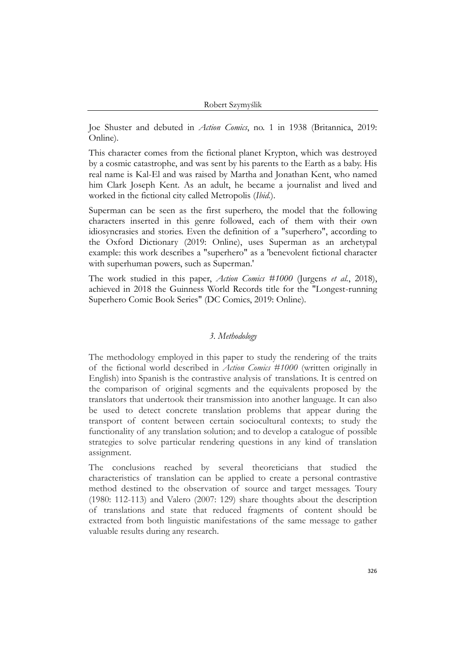Robert Szymyślik

Joe Shuster and debuted in *Action Comics*, no. 1 in 1938 (Britannica, 2019: Online).

This character comes from the fictional planet Krypton, which was destroyed by a cosmic catastrophe, and was sent by his parents to the Earth as a baby. His real name is Kal-El and was raised by Martha and Jonathan Kent, who named him Clark Joseph Kent. As an adult, he became a journalist and lived and worked in the fictional city called Metropolis (*Ibid.*).

Superman can be seen as the first superhero, the model that the following characters inserted in this genre followed, each of them with their own idiosyncrasies and stories. Even the definition of a "superhero", according to the Oxford Dictionary (2019: Online), uses Superman as an archetypal example: this work describes a "superhero" as a 'benevolent fictional character with superhuman powers, such as Superman.'

The work studied in this paper, *Action Comics #1000* (Jurgens *et al.*, 2018), achieved in 2018 the Guinness World Records title for the "Longest-running Superhero Comic Book Series" (DC Comics, 2019: Online).

### *3. Methodology*

The methodology employed in this paper to study the rendering of the traits of the fictional world described in *Action Comics #1000* (written originally in English) into Spanish is the contrastive analysis of translations. It is centred on the comparison of original segments and the equivalents proposed by the translators that undertook their transmission into another language. It can also be used to detect concrete translation problems that appear during the transport of content between certain sociocultural contexts; to study the functionality of any translation solution; and to develop a catalogue of possible strategies to solve particular rendering questions in any kind of translation assignment.

The conclusions reached by several theoreticians that studied the characteristics of translation can be applied to create a personal contrastive method destined to the observation of source and target messages. Toury (1980: 112-113) and Valero (2007: 129) share thoughts about the description of translations and state that reduced fragments of content should be extracted from both linguistic manifestations of the same message to gather valuable results during any research.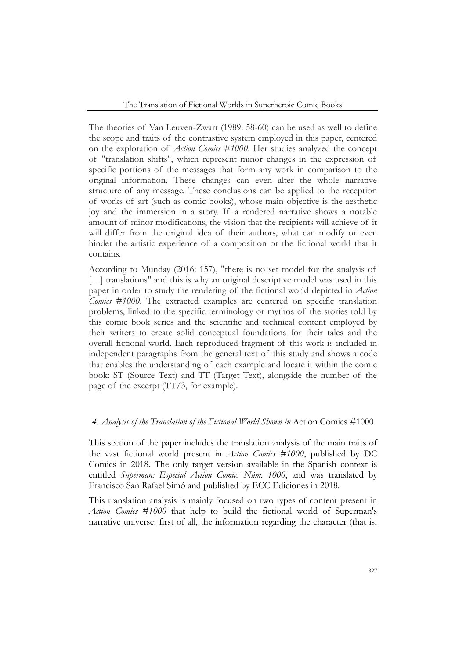The Translation of Fictional Worlds in Superheroic Comic Books

The theories of Van Leuven-Zwart (1989: 58-60) can be used as well to define the scope and traits of the contrastive system employed in this paper, centered on the exploration of *Action Comics #1000*. Her studies analyzed the concept of "translation shifts", which represent minor changes in the expression of specific portions of the messages that form any work in comparison to the original information. These changes can even alter the whole narrative structure of any message. These conclusions can be applied to the reception of works of art (such as comic books), whose main objective is the aesthetic joy and the immersion in a story. If a rendered narrative shows a notable amount of minor modifications, the vision that the recipients will achieve of it will differ from the original idea of their authors, what can modify or even hinder the artistic experience of a composition or the fictional world that it contains.

According to Munday (2016: 157), "there is no set model for the analysis of [...] translations" and this is why an original descriptive model was used in this paper in order to study the rendering of the fictional world depicted in *Action Comics #1000*. The extracted examples are centered on specific translation problems, linked to the specific terminology or mythos of the stories told by this comic book series and the scientific and technical content employed by their writers to create solid conceptual foundations for their tales and the overall fictional world. Each reproduced fragment of this work is included in independent paragraphs from the general text of this study and shows a code that enables the understanding of each example and locate it within the comic book: ST (Source Text) and TT (Target Text), alongside the number of the page of the excerpt  $(TT/3,$  for example).

### *4. Analysis of the Translation of the Fictional World Shown in* Action Comics #1000

This section of the paper includes the translation analysis of the main traits of the vast fictional world present in *Action Comics #1000*, published by DC Comics in 2018. The only target version available in the Spanish context is entitled *Superman: Especial Action Comics Núm. 1000*, and was translated by Francisco San Rafael Simó and published by ECC Ediciones in 2018.

This translation analysis is mainly focused on two types of content present in *Action Comics #1000* that help to build the fictional world of Superman's narrative universe: first of all, the information regarding the character (that is,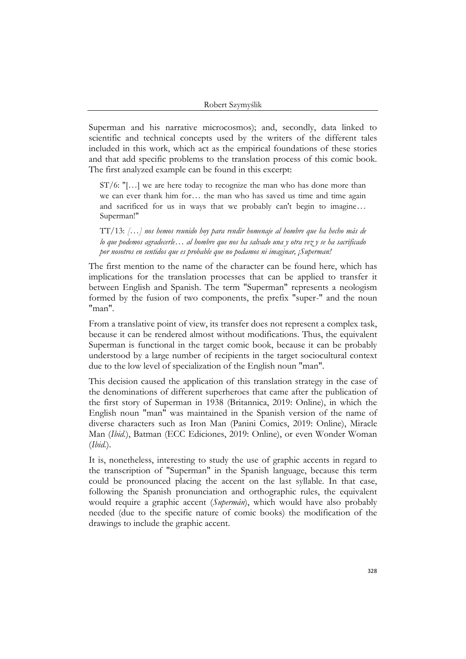Superman and his narrative microcosmos); and, secondly, data linked to scientific and technical concepts used by the writers of the different tales included in this work, which act as the empirical foundations of these stories and that add specific problems to the translation process of this comic book. The first analyzed example can be found in this excerpt:

ST/6: "[…] we are here today to recognize the man who has done more than we can ever thank him for… the man who has saved us time and time again and sacrificed for us in ways that we probably can't begin to imagine… Superman!"

TT/13: *[…] nos hemos reunido hoy para rendir homenaje al hombre que ha hecho más de lo que podemos agradecerle… al hombre que nos ha salvado una y otra vez y se ha sacrificado por nosotros en sentidos que es probable que no podamos ni imaginar, ¡Superman!*

The first mention to the name of the character can be found here, which has implications for the translation processes that can be applied to transfer it between English and Spanish. The term "Superman" represents a neologism formed by the fusion of two components, the prefix "super-" and the noun "man".

From a translative point of view, its transfer does not represent a complex task, because it can be rendered almost without modifications. Thus, the equivalent Superman is functional in the target comic book, because it can be probably understood by a large number of recipients in the target sociocultural context due to the low level of specialization of the English noun "man".

This decision caused the application of this translation strategy in the case of the denominations of different superheroes that came after the publication of the first story of Superman in 1938 (Britannica, 2019: Online), in which the English noun "man" was maintained in the Spanish version of the name of diverse characters such as Iron Man (Panini Comics, 2019: Online), Miracle Man (*Ibid.*), Batman (ECC Ediciones, 2019: Online), or even Wonder Woman (*Ibid.*).

It is, nonetheless, interesting to study the use of graphic accents in regard to the transcription of "Superman" in the Spanish language, because this term could be pronounced placing the accent on the last syllable. In that case, following the Spanish pronunciation and orthographic rules, the equivalent would require a graphic accent (*Supermán*), which would have also probably needed (due to the specific nature of comic books) the modification of the drawings to include the graphic accent.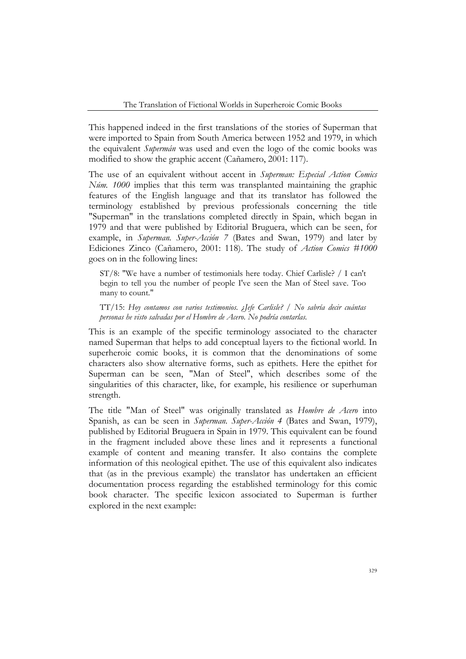This happened indeed in the first translations of the stories of Superman that were imported to Spain from South America between 1952 and 1979, in which the equivalent *Supermán* was used and even the logo of the comic books was modified to show the graphic accent (Cañamero, 2001: 117).

The use of an equivalent without accent in *Superman: Especial Action Comics Núm. 1000* implies that this term was transplanted maintaining the graphic features of the English language and that its translator has followed the terminology established by previous professionals concerning the title "Superman" in the translations completed directly in Spain, which began in 1979 and that were published by Editorial Bruguera, which can be seen, for example, in *Superman. Super-Acción 7* (Bates and Swan, 1979) and later by Ediciones Zinco (Cañamero, 2001: 118). The study of *Action Comics #1000* goes on in the following lines:

ST/8: "We have a number of testimonials here today. Chief Carlisle? / I can't begin to tell you the number of people I've seen the Man of Steel save. Too many to count."

TT/15: *Hoy contamos con varios testimonios. ¿Jefe Carlisle? / No sabría decir cuántas personas he visto salvadas por el Hombre de Acero. No podría contarlas.*

This is an example of the specific terminology associated to the character named Superman that helps to add conceptual layers to the fictional world. In superheroic comic books, it is common that the denominations of some characters also show alternative forms, such as epithets. Here the epithet for Superman can be seen, "Man of Steel", which describes some of the singularities of this character, like, for example, his resilience or superhuman strength.

The title "Man of Steel" was originally translated as *Hombre de Acero* into Spanish, as can be seen in *Superman. Super-Acción 4* (Bates and Swan, 1979), published by Editorial Bruguera in Spain in 1979. This equivalent can be found in the fragment included above these lines and it represents a functional example of content and meaning transfer. It also contains the complete information of this neological epithet. The use of this equivalent also indicates that (as in the previous example) the translator has undertaken an efficient documentation process regarding the established terminology for this comic book character. The specific lexicon associated to Superman is further explored in the next example: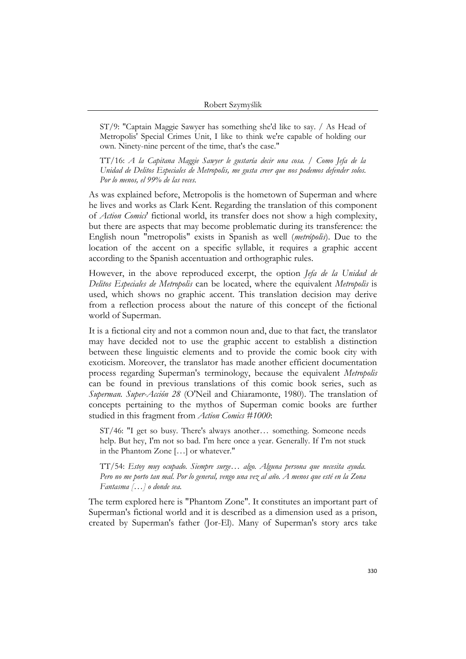ST/9: "Captain Maggie Sawyer has something she'd like to say. / As Head of Metropolis' Special Crimes Unit, I like to think we're capable of holding our own. Ninety-nine percent of the time, that's the case."

TT/16: *A la Capitana Maggie Sawyer le gustaría decir una cosa. / Como Jefa de la Unidad de Delitos Especiales de Metropolis, me gusta creer que nos podemos defender solos. Por lo menos, el 99% de las veces.*

As was explained before, Metropolis is the hometown of Superman and where he lives and works as Clark Kent. Regarding the translation of this component of *Action Comics*' fictional world, its transfer does not show a high complexity, but there are aspects that may become problematic during its transference: the English noun "metropolis" exists in Spanish as well (*metrópolis*). Due to the location of the accent on a specific syllable, it requires a graphic accent according to the Spanish accentuation and orthographic rules.

However, in the above reproduced excerpt, the option *Jefa de la Unidad de Delitos Especiales de Metropolis* can be located, where the equivalent *Metropolis* is used, which shows no graphic accent. This translation decision may derive from a reflection process about the nature of this concept of the fictional world of Superman.

It is a fictional city and not a common noun and, due to that fact, the translator may have decided not to use the graphic accent to establish a distinction between these linguistic elements and to provide the comic book city with exoticism. Moreover, the translator has made another efficient documentation process regarding Superman's terminology, because the equivalent *Metropolis* can be found in previous translations of this comic book series, such as *Superman. Super-Acción 28* (O'Neil and Chiaramonte, 1980). The translation of concepts pertaining to the mythos of Superman comic books are further studied in this fragment from *Action Comics #1000*:

ST/46: "I get so busy. There's always another… something. Someone needs help. But hey, I'm not so bad. I'm here once a year. Generally. If I'm not stuck in the Phantom Zone […] or whatever."

TT/54: *Estoy muy ocupado. Siempre surge… algo. Alguna persona que necesita ayuda. Pero no me porto tan mal. Por lo general, vengo una vez al año. A menos que esté en la Zona Fantasma […] o donde sea.*

The term explored here is "Phantom Zone". It constitutes an important part of Superman's fictional world and it is described as a dimension used as a prison, created by Superman's father (Jor-El). Many of Superman's story arcs take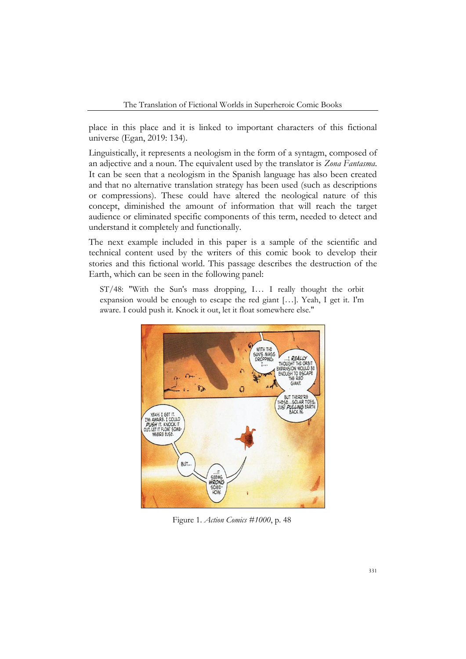place in this place and it is linked to important characters of this fictional universe (Egan, 2019: 134).

Linguistically, it represents a neologism in the form of a syntagm, composed of an adjective and a noun. The equivalent used by the translator is *Zona Fantasma*. It can be seen that a neologism in the Spanish language has also been created and that no alternative translation strategy has been used (such as descriptions or compressions). These could have altered the neological nature of this concept, diminished the amount of information that will reach the target audience or eliminated specific components of this term, needed to detect and understand it completely and functionally.

The next example included in this paper is a sample of the scientific and technical content used by the writers of this comic book to develop their stories and this fictional world. This passage describes the destruction of the Earth, which can be seen in the following panel:

ST/48: "With the Sun's mass dropping, I… I really thought the orbit expansion would be enough to escape the red giant […]. Yeah, I get it. I'm aware. I could push it. Knock it out, let it float somewhere else."



Figure 1. *Action Comics #1000*, p. 48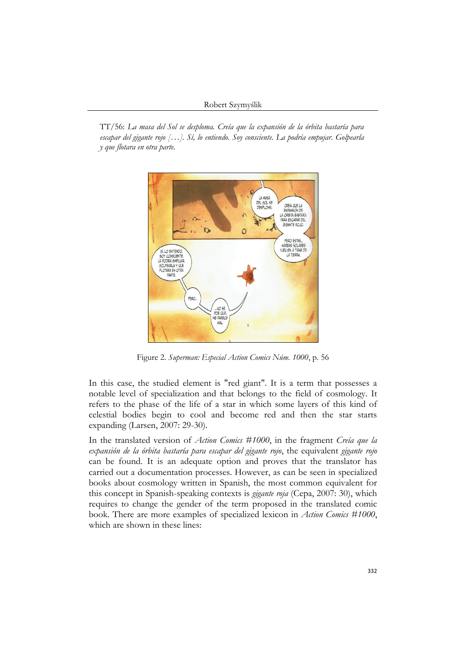TT/56: *La masa del Sol se desploma. Creía que la expansión de la órbita bastaría para escapar del gigante rojo […]. Sí, lo entiendo. Soy consciente. La podría empujar. Golpearla y que flotara en otra parte.*



Figure 2. *Superman: Especial Action Comics Núm. 1000*, p. 56

In this case, the studied element is "red giant". It is a term that possesses a notable level of specialization and that belongs to the field of cosmology. It refers to the phase of the life of a star in which some layers of this kind of celestial bodies begin to cool and become red and then the star starts expanding (Larsen, 2007: 29-30).

In the translated version of *Action Comics #1000*, in the fragment *Creía que la expansión de la órbita bastaría para escapar del gigante rojo*, the equivalent *gigante rojo* can be found. It is an adequate option and proves that the translator has carried out a documentation processes. However, as can be seen in specialized books about cosmology written in Spanish, the most common equivalent for this concept in Spanish-speaking contexts is *gigante roja* (Cepa, 2007: 30), which requires to change the gender of the term proposed in the translated comic book. There are more examples of specialized lexicon in *Action Comics #1000*, which are shown in these lines: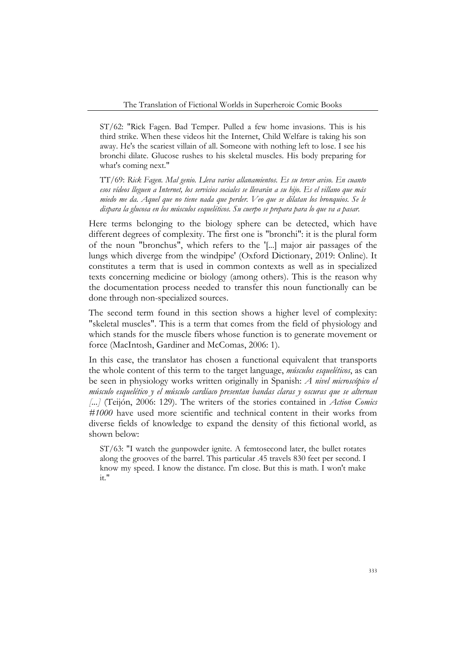ST/62: "Rick Fagen. Bad Temper. Pulled a few home invasions. This is his third strike. When these videos hit the Internet, Child Welfare is taking his son away. He's the scariest villain of all. Someone with nothing left to lose. I see his bronchi dilate. Glucose rushes to his skeletal muscles. His body preparing for what's coming next."

TT/69: *Rick Fagen. Mal genio. Lleva varios allanamientos. Es su tercer aviso. En cuanto esos vídeos lleguen a Internet, los servicios sociales se llevarán a su hijo. Es el villano que más miedo me da. Aquel que no tiene nada que perder. Veo que se dilatan los bronquios. Se le dispara la glucosa en los músculos esqueléticos. Su cuerpo se prepara para lo que va a pasar.*

Here terms belonging to the biology sphere can be detected, which have different degrees of complexity. The first one is "bronchi": it is the plural form of the noun "bronchus", which refers to the '[...] major air passages of the lungs which diverge from the windpipe' (Oxford Dictionary, 2019: Online). It constitutes a term that is used in common contexts as well as in specialized texts concerning medicine or biology (among others). This is the reason why the documentation process needed to transfer this noun functionally can be done through non-specialized sources.

The second term found in this section shows a higher level of complexity: "skeletal muscles". This is a term that comes from the field of physiology and which stands for the muscle fibers whose function is to generate movement or force (MacIntosh, Gardiner and McComas, 2006: 1).

In this case, the translator has chosen a functional equivalent that transports the whole content of this term to the target language, *músculos esqueléticos*, as can be seen in physiology works written originally in Spanish: *A nivel microscópico el músculo esquelético y el músculo cardíaco presentan bandas claras y oscuras que se alternan [...]* (Teijón, 2006: 129). The writers of the stories contained in *Action Comics #1000* have used more scientific and technical content in their works from diverse fields of knowledge to expand the density of this fictional world, as shown below:

ST/63: "I watch the gunpowder ignite. A femtosecond later, the bullet rotates along the grooves of the barrel. This particular .45 travels 830 feet per second. I know my speed. I know the distance. I'm close. But this is math. I won't make it."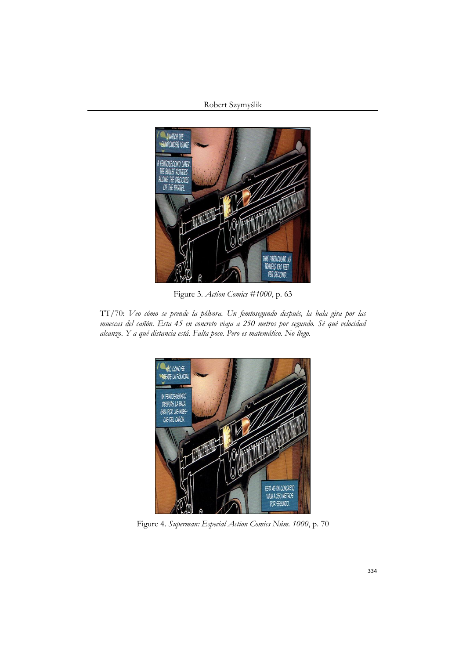### Robert Szymyślik



Figure 3. *Action Comics #1000*, p. 63

TT/70: *Veo cómo se prende la pólvora. Un femtosegundo después, la bala gira por las muescas del cañón. Esta 45 en concreto viaja a 250 metros por segundo. Sé qué velocidad alcanzo. Y a qué distancia está. Falta poco. Pero es matemático. No llego.*



Figure 4. *Superman: Especial Action Comics Núm. 1000*, p. 70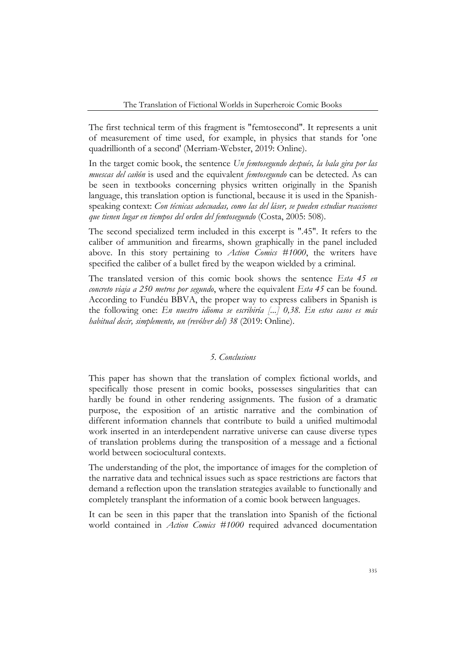The first technical term of this fragment is "femtosecond". It represents a unit of measurement of time used, for example, in physics that stands for 'one quadrillionth of a second' (Merriam-Webster, 2019: Online).

In the target comic book, the sentence *Un femtosegundo después, la bala gira por las muescas del cañón* is used and the equivalent *femtosegundo* can be detected. As can be seen in textbooks concerning physics written originally in the Spanish language, this translation option is functional, because it is used in the Spanishspeaking context: *Con técnicas adecuadas, como las del láser, se pueden estudiar reacciones que tienen lugar en tiempos del orden del femtosegundo* (Costa, 2005: 508).

The second specialized term included in this excerpt is ".45". It refers to the caliber of ammunition and firearms, shown graphically in the panel included above. In this story pertaining to *Action Comics #1000*, the writers have specified the caliber of a bullet fired by the weapon wielded by a criminal.

The translated version of this comic book shows the sentence *Esta 45 en concreto viaja a 250 metros por segundo*, where the equivalent *Esta 45* can be found. According to Fundéu BBVA, the proper way to express calibers in Spanish is the following one: *En nuestro idioma se escribiría [...] 0,38. En estos casos es más habitual decir, simplemente, un (revólver del) 38* (2019: Online).

## *5. Conclusions*

This paper has shown that the translation of complex fictional worlds, and specifically those present in comic books, possesses singularities that can hardly be found in other rendering assignments. The fusion of a dramatic purpose, the exposition of an artistic narrative and the combination of different information channels that contribute to build a unified multimodal work inserted in an interdependent narrative universe can cause diverse types of translation problems during the transposition of a message and a fictional world between sociocultural contexts.

The understanding of the plot, the importance of images for the completion of the narrative data and technical issues such as space restrictions are factors that demand a reflection upon the translation strategies available to functionally and completely transplant the information of a comic book between languages.

It can be seen in this paper that the translation into Spanish of the fictional world contained in *Action Comics #1000* required advanced documentation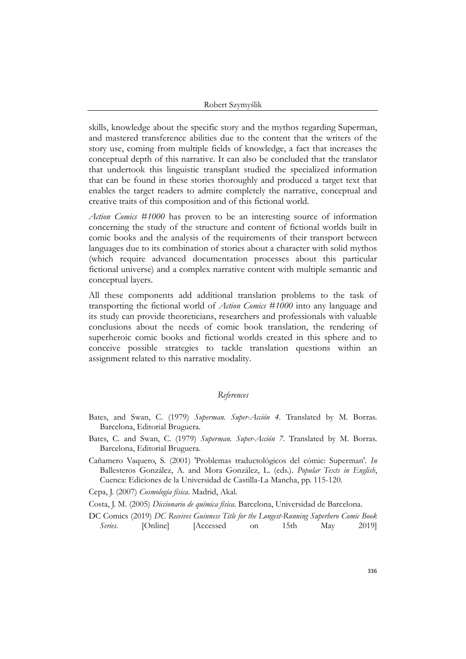skills, knowledge about the specific story and the mythos regarding Superman, and mastered transference abilities due to the content that the writers of the story use, coming from multiple fields of knowledge, a fact that increases the conceptual depth of this narrative. It can also be concluded that the translator that undertook this linguistic transplant studied the specialized information that can be found in these stories thoroughly and produced a target text that enables the target readers to admire completely the narrative, conceptual and creative traits of this composition and of this fictional world.

*Action Comics #1000* has proven to be an interesting source of information concerning the study of the structure and content of fictional worlds built in comic books and the analysis of the requirements of their transport between languages due to its combination of stories about a character with solid mythos (which require advanced documentation processes about this particular fictional universe) and a complex narrative content with multiple semantic and conceptual layers.

All these components add additional translation problems to the task of transporting the fictional world of *Action Comics #1000* into any language and its study can provide theoreticians, researchers and professionals with valuable conclusions about the needs of comic book translation, the rendering of superheroic comic books and fictional worlds created in this sphere and to conceive possible strategies to tackle translation questions within an assignment related to this narrative modality.

### *References*

- Bates, and Swan, C. (1979) *Superman. Super-Acción 4*. Translated by M. Borras. Barcelona, Editorial Bruguera.
- Bates, C. and Swan, C. (1979) *Superman. Super-Acción 7*. Translated by M. Borras. Barcelona, Editorial Bruguera.
- Cañamero Vaquero, S. (2001) 'Problemas traductológicos del cómic: Superman'. *In* Ballesteros González, A. and Mora González, L. (eds.). *Popular Texts in English*, Cuenca: Ediciones de la Universidad de Castilla-La Mancha, pp. 115-120.

Cepa, J. (2007) *Cosmología física*. Madrid, Akal.

- Costa, J. M. (2005) *Diccionario de química física*. Barcelona, Universidad de Barcelona.
- DC Comics (2019) *DC Receives Guinness Title for the Longest-Running Superhero Comic Book Series*. [Online] [Accessed on 15th May 2019]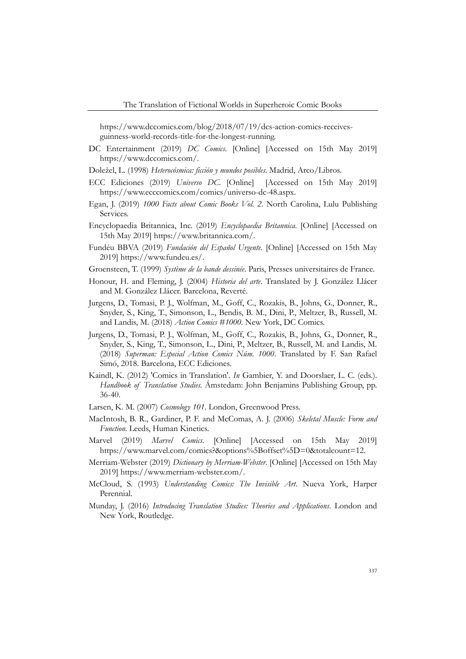https://www.dccomics.com/blog/2018/07/19/dcs-action-comics-receivesguinness-world-records-title-for-the-longest-running.

- DC Entertainment (2019) *DC Comics*. [Online] [Accessed on 15th May 2019] https://www.dccomics.com/.
- Doležel, L. (1998) *Heterocósmica: ficción y mundos posibles*. Madrid, Arco/Libros.
- ECC Ediciones (2019) *Universo DC*. [Online] [Accessed on 15th May 2019] https://www.ecccomics.com/comics/universo-dc-48.aspx.
- Egan, J. (2019) *1000 Facts about Comic Books Vol. 2*. North Carolina, Lulu Publishing Services.
- Encyclopaedia Britannica, Inc. (2019) *Encyclopaedia Britannica*. [Online] [Accessed on 15th May 2019] https://www.britannica.com/.
- Fundéu BBVA (2019) *Fundación del Español Urgente*. [Online] [Accessed on 15th May 2019] https://www.fundeu.es/.
- Groensteen, T. (1999) *Système de la bande dessinée*. Paris, Presses universitaires de France.
- Honour, H. and Fleming, J. (2004) *Historia del arte*. Translated by J. González Llácer and M. González Llácer. Barcelona, Reverté.
- Jurgens, D., Tomasi, P. J., Wolfman, M., Goff, C., Rozakis, B., Johns, G., Donner, R., Snyder, S., King, T., Simonson, L., Bendis, B. M., Dini, P., Meltzer, B., Russell, M. and Landis, M. (2018) *Action Comics #1000*. New York, DC Comics.
- Jurgens, D., Tomasi, P. J., Wolfman, M., Goff, C., Rozakis, B., Johns, G., Donner, R., Snyder, S., King, T., Simonson, L., Dini, P., Meltzer, B., Russell, M. and Landis, M. (2018) *Superman: Especial Action Comics Núm. 1000*. Translated by F. San Rafael Simó, 2018. Barcelona, ECC Ediciones.
- Kaindl, K. (2012) 'Comics in Translation'. *In* Gambier, Y. and Doorslaer, L. C. (eds.). *Handbook of Translation Studies.* Ámstedam: John Benjamins Publishing Group, pp. 36-40.
- Larsen, K. M. (2007) *Cosmology 101*. London, Greenwood Press.
- MacIntosh, B. R., Gardiner, P. F. and McComas, A. J. (2006) *Skeletal Muscle: Form and Function*. Leeds, Human Kinetics.
- Marvel (2019) *Marvel Comics*. [Online] [Accessed on 15th May 2019] https://www.marvel.com/comics?&options%5Boffset%5D=0&totalcount=12.
- Merriam-Webster (2019) *Dictionary by Merriam-Webster*. [Online] [Accessed on 15th May 2019] https://www.merriam-webster.com/.
- McCloud, S. (1993) *Understanding Comics: The Invisible Art*. Nueva York, Harper Perennial.
- Munday, J. (2016) *Introducing Translation Studies: Theories and Applications*. London and New York, Routledge.